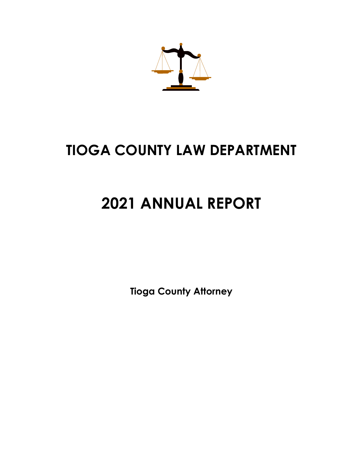

# **TIOGA COUNTY LAW DEPARTMENT**

# **2021 ANNUAL REPORT**

**Tioga County Attorney**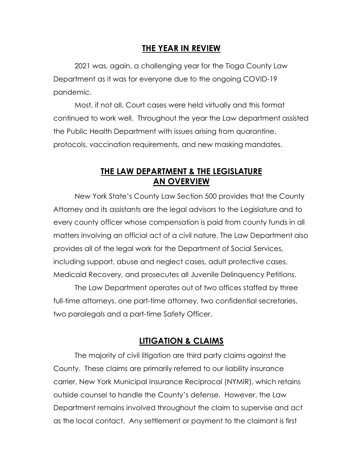### **THE YEAR IN REVIEW**

2021 was, again, a challenging year for the Tioga County Law Department as it was for everyone due to the ongoing COVID-19 pandemic.

Most, if not all, Court cases were held virtually and this format continued to work well. Throughout the year the Law department assisted the Public Health Department with issues arising from quarantine, protocols, vaccination requirements, and new masking mandates.

### **THE LAW DEPARTMENT & THE LEGISLATURE AN OVERVIEW**

New York State's County Law Section 500 provides that the County Attorney and its assistants are the legal advisors to the Legislature and to every county officer whose compensation is paid from county funds in all matters involving an official act of a civil nature. The Law Department also provides all of the legal work for the Department of Social Services, including support, abuse and neglect cases, adult protective cases, Medicaid Recovery, and prosecutes all Juvenile Delinquency Petitions.

The Law Department operates out of two offices staffed by three full-time attorneys, one part-time attorney, two confidential secretaries, two paralegals and a part-time Safety Officer.

#### **LITIGATION & CLAIMS**

The majority of civil litigation are third party claims against the County. These claims are primarily referred to our liability insurance carrier, New York Municipal Insurance Reciprocal (NYMIR), which retains outside counsel to handle the County's defense. However, the Law Department remains involved throughout the claim to supervise and act as the local contact. Any settlement or payment to the claimant is first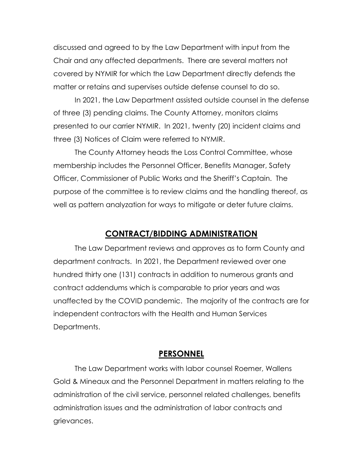discussed and agreed to by the Law Department with input from the Chair and any affected departments. There are several matters not covered by NYMIR for which the Law Department directly defends the matter or retains and supervises outside defense counsel to do so.

In 2021, the Law Department assisted outside counsel in the defense of three (3) pending claims. The County Attorney, monitors claims presented to our carrier NYMIR. In 2021, twenty (20) incident claims and three (3) Notices of Claim were referred to NYMIR.

The County Attorney heads the Loss Control Committee, whose membership includes the Personnel Officer, Benefits Manager, Safety Officer, Commissioner of Public Works and the Sheriff's Captain. The purpose of the committee is to review claims and the handling thereof, as well as pattern analyzation for ways to mitigate or deter future claims.

#### **CONTRACT/BIDDING ADMINISTRATION**

The Law Department reviews and approves as to form County and department contracts. In 2021, the Department reviewed over one hundred thirty one (131) contracts in addition to numerous grants and contract addendums which is comparable to prior years and was unaffected by the COVID pandemic. The majority of the contracts are for independent contractors with the Health and Human Services Departments.

#### **PERSONNEL**

The Law Department works with labor counsel Roemer, Wallens Gold & Mineaux and the Personnel Department in matters relating to the administration of the civil service, personnel related challenges, benefits administration issues and the administration of labor contracts and grievances.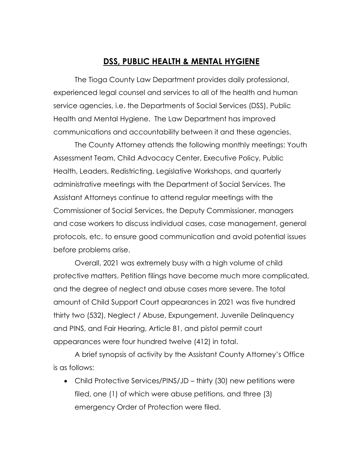#### **DSS, PUBLIC HEALTH & MENTAL HYGIENE**

The Tioga County Law Department provides daily professional, experienced legal counsel and services to all of the health and human service agencies, i.e. the Departments of Social Services (DSS), Public Health and Mental Hygiene. The Law Department has improved communications and accountability between it and these agencies.

The County Attorney attends the following monthly meetings: Youth Assessment Team, Child Advocacy Center, Executive Policy, Public Health, Leaders, Redistricting, Legislative Workshops, and quarterly administrative meetings with the Department of Social Services. The Assistant Attorneys continue to attend regular meetings with the Commissioner of Social Services, the Deputy Commissioner, managers and case workers to discuss individual cases, case management, general protocols, etc. to ensure good communication and avoid potential issues before problems arise.

Overall, 2021 was extremely busy with a high volume of child protective matters. Petition filings have become much more complicated, and the degree of neglect and abuse cases more severe. The total amount of Child Support Court appearances in 2021 was five hundred thirty two (532), Neglect / Abuse, Expungement, Juvenile Delinquency and PINS, and Fair Hearing, Article 81, and pistol permit court appearances were four hundred twelve (412) in total.

A brief synopsis of activity by the Assistant County Attorney's Office is as follows:

 Child Protective Services/PINS/JD – thirty (30) new petitions were filed, one (1) of which were abuse petitions, and three (3) emergency Order of Protection were filed.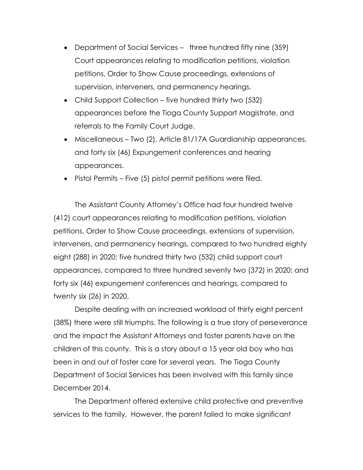- Department of Social Services three hundred fifty nine (359) Court appearances relating to modification petitions, violation petitions, Order to Show Cause proceedings, extensions of supervision, interveners, and permanency hearings.
- Child Support Collection five hundred thirty two (532) appearances before the Tioga County Support Magistrate, and referrals to the Family Court Judge.
- Miscellaneous Two (2), Article 81/17A Guardianship appearances, and forty six (46) Expungement conferences and hearing appearances.
- Pistol Permits Five (5) pistol permit petitions were filed.

The Assistant County Attorney's Office had four hundred twelve (412) court appearances relating to modification petitions, violation petitions, Order to Show Cause proceedings, extensions of supervision, interveners, and permanency hearings, compared to two hundred eighty eight (288) in 2020; five hundred thirty two (532) child support court appearances, compared to three hundred seventy two (372) in 2020; and forty six (46) expungement conferences and hearings, compared to twenty six (26) in 2020.

Despite dealing with an increased workload of thirty eight percent (38%) there were still triumphs. The following is a true story of perseverance and the impact the Assistant Attorneys and foster parents have on the children of this county. This is a story about a 15 year old boy who has been in and out of foster care for several years. The Tioga County Department of Social Services has been involved with this family since December 2014.

The Department offered extensive child protective and preventive services to the family. However, the parent failed to make significant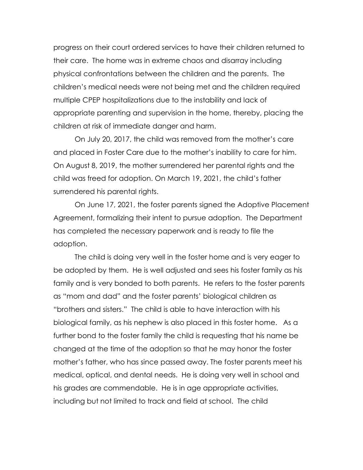progress on their court ordered services to have their children returned to their care. The home was in extreme chaos and disarray including physical confrontations between the children and the parents. The children's medical needs were not being met and the children required multiple CPEP hospitalizations due to the instability and lack of appropriate parenting and supervision in the home, thereby, placing the children at risk of immediate danger and harm.

On July 20, 2017, the child was removed from the mother's care and placed in Foster Care due to the mother's inability to care for him. On August 8, 2019, the mother surrendered her parental rights and the child was freed for adoption. On March 19, 2021, the child's father surrendered his parental rights.

On June 17, 2021, the foster parents signed the Adoptive Placement Agreement, formalizing their intent to pursue adoption. The Department has completed the necessary paperwork and is ready to file the adoption.

The child is doing very well in the foster home and is very eager to be adopted by them. He is well adjusted and sees his foster family as his family and is very bonded to both parents. He refers to the foster parents as "mom and dad" and the foster parents' biological children as "brothers and sisters." The child is able to have interaction with his biological family, as his nephew is also placed in this foster home. As a further bond to the foster family the child is requesting that his name be changed at the time of the adoption so that he may honor the foster mother's father, who has since passed away. The foster parents meet his medical, optical, and dental needs. He is doing very well in school and his grades are commendable. He is in age appropriate activities, including but not limited to track and field at school. The child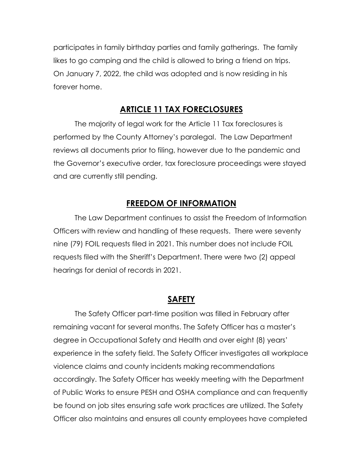participates in family birthday parties and family gatherings. The family likes to go camping and the child is allowed to bring a friend on trips. On January 7, 2022, the child was adopted and is now residing in his forever home.

#### **ARTICLE 11 TAX FORECLOSURES**

The majority of legal work for the Article 11 Tax foreclosures is performed by the County Attorney's paralegal. The Law Department reviews all documents prior to filing, however due to the pandemic and the Governor's executive order, tax foreclosure proceedings were stayed and are currently still pending.

#### **FREEDOM OF INFORMATION**

The Law Department continues to assist the Freedom of Information Officers with review and handling of these requests. There were seventy nine (79) FOIL requests filed in 2021. This number does not include FOIL requests filed with the Sheriff's Department. There were two (2) appeal hearings for denial of records in 2021.

#### **SAFETY**

The Safety Officer part-time position was filled in February after remaining vacant for several months. The Safety Officer has a master's degree in Occupational Safety and Health and over eight (8) years' experience in the safety field. The Safety Officer investigates all workplace violence claims and county incidents making recommendations accordingly. The Safety Officer has weekly meeting with the Department of Public Works to ensure PESH and OSHA compliance and can frequently be found on job sites ensuring safe work practices are utilized. The Safety Officer also maintains and ensures all county employees have completed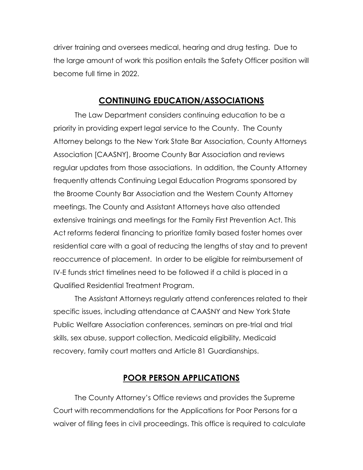driver training and oversees medical, hearing and drug testing. Due to the large amount of work this position entails the Safety Officer position will become full time in 2022.

#### **CONTINUING EDUCATION/ASSOCIATIONS**

The Law Department considers continuing education to be a priority in providing expert legal service to the County. The County Attorney belongs to the New York State Bar Association, County Attorneys Association [CAASNY], Broome County Bar Association and reviews regular updates from those associations. In addition, the County Attorney frequently attends Continuing Legal Education Programs sponsored by the Broome County Bar Association and the Western County Attorney meetings. The County and Assistant Attorneys have also attended extensive trainings and meetings for the Family First Prevention Act. This Act reforms federal financing to prioritize family based foster homes over residential care with a goal of reducing the lengths of stay and to prevent reoccurrence of placement. In order to be eligible for reimbursement of IV-E funds strict timelines need to be followed if a child is placed in a Qualified Residential Treatment Program.

The Assistant Attorneys regularly attend conferences related to their specific issues, including attendance at CAASNY and New York State Public Welfare Association conferences, seminars on pre-trial and trial skills, sex abuse, support collection, Medicaid eligibility, Medicaid recovery, family court matters and Article 81 Guardianships.

#### **POOR PERSON APPLICATIONS**

The County Attorney's Office reviews and provides the Supreme Court with recommendations for the Applications for Poor Persons for a waiver of filing fees in civil proceedings. This office is required to calculate